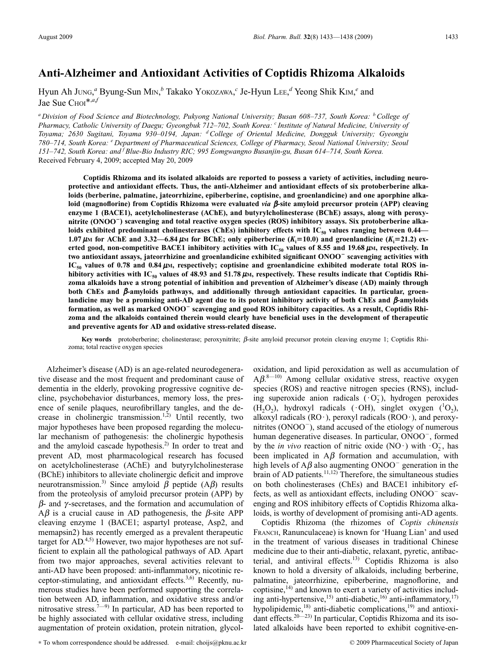# **Anti-Alzheimer and Antioxidant Activities of Coptidis Rhizoma Alkaloids**

Hyun Ah JUNG, *<sup>a</sup>* Byung-Sun MIN, *<sup>b</sup>* Takako YOKOZAWA, *<sup>c</sup>* Je-Hyun LEE, *<sup>d</sup>* Yeong Shik KIM, *<sup>e</sup>* and Jae Sue C<sub>HOI</sub>\*,a,f

*<sup>a</sup> Division of Food Science and Biotechnology, Pukyong National University; Busan 608–737, South Korea: bCollege of Pharmacy, Catholic University of Daegu; Gyeongbuk 712–702, South Korea: <sup>c</sup> Institute of Natural Medicine, University of Toyama; 2630 Sugitani, Toyama 930–0194, Japan: dCollege of Oriental Medicine, Dongguk University; Gyeongju 780–714, South Korea: <sup>e</sup> Department of Pharmaceutical Sciences, College of Pharmacy, Seoul National University; Seoul 151–742, South Korea: and f Blue-Bio Industry RIC; 995 Eomgwangno Busanjin-gu, Busan 614–714, South Korea.* Received February 4, 2009; accepted May 20, 2009

**Coptidis Rhizoma and its isolated alkaloids are reported to possess a variety of activities, including neuroprotective and antioxidant effects. Thus, the anti-Alzheimer and antioxidant effects of six protoberberine alkaloids (berberine, palmatine, jateorrhizine, epiberberine, coptisine, and groenlandicine) and one aporphine alka**loid (magnoflorine) from Coptidis Rhizoma were evaluated *via*  $\beta$ -site amyloid precursor protein (APP) cleaving **enzyme 1 (BACE1), acetylcholinesterase (AChE), and butyrylcholinesterase (BChE) assays, along with peroxynitrite (ONOO) scavenging and total reactive oxygen species (ROS) inhibitory assays. Six protoberberine alka**loids exhibited predominant cholinesterases (ChEs) inhibitory effects with IC<sub>50</sub> values ranging between 0.44— **1.07**  $\mu$ **M** for AChE and 3.32—6.84  $\mu$ M for BChE; only epiberberine ( $K_i$ =10.0) and groenlandicine ( $K_i$ =21.2) exerted good, non-competitive BACE1 inhibitory activities with  $IC_{50}$  values of 8.55 and 19.68  $\mu$ *M*, respectively. In **two antioxidant assays, jateorrhizine and groenlandicine exhibited significant ONOO scavenging activities with**  $IC_{50}$  values of 0.78 and 0.84  $\mu$ *m*, respectively; coptisine and groenlandicine exhibited moderate total ROS inhibitory activities with IC<sub>50</sub> values of 48.93 and 51.78  $\mu$ <sub>M</sub>, respectively. These results indicate that Coptidis Rhi**zoma alkaloids have a strong potential of inhibition and prevention of Alzheimer's disease (AD) mainly through** both ChEs and  $\beta$ -amyloids pathways, and additionally through antioxidant capacities. In particular, groenlandicine may be a promising anti-AD agent due to its potent inhibitory activity of both ChEs and  $\beta$ -amyloids formation, as well as marked ONOO<sup>-</sup> scavenging and good ROS inhibitory capacities. As a result, Coptidis Rhi**zoma and the alkaloids contained therein would clearly have beneficial uses in the development of therapeutic and preventive agents for AD and oxidative stress-related disease.**

**Key words** protoberberine; cholinesterase; peroxynitrite; β-site amyloid precursor protein cleaving enzyme 1; Coptidis Rhizoma; total reactive oxygen species

Alzheimer's disease (AD) is an age-related neurodegenerative disease and the most frequent and predominant cause of dementia in the elderly, provoking progressive cognitive decline, psychobehavior disturbances, memory loss, the presence of senile plaques, neurofibrillary tangles, and the decrease in cholinergic transmission.<sup>1,2)</sup> Until recently, two major hypotheses have been proposed regarding the molecular mechanism of pathogenesis: the cholinergic hypothesis and the amyloid cascade hypothesis.2) In order to treat and prevent AD, most pharmacological research has focused on acetylcholinesterase (AChE) and butyrylcholinesterase (BChE) inhibitors to alleviate cholinergic deficit and improve neurotransmission.<sup>3)</sup> Since amyloid  $\beta$  peptide (A $\beta$ ) results from the proteolysis of amyloid precursor protein (APP) by  $\beta$ - and  $\gamma$ -secretases, and the formation and accumulation of  $A\beta$  is a crucial cause in AD pathogenesis, the  $\beta$ -site APP cleaving enzyme 1 (BACE1; aspartyl protease, Asp2, and memapsin2) has recently emerged as a prevalent therapeutic target for AD.<sup>4,5)</sup> However, two major hypotheses are not sufficient to explain all the pathological pathways of AD. Apart from two major approaches, several activities relevant to anti-AD have been proposed: anti-inflammatory, nicotinic receptor-stimulating, and antioxidant effects.<sup>3,6)</sup> Recently, numerous studies have been performed supporting the correlation between AD, inflammation, and oxidative stress and/or nitrosative stress.<sup>7—9)</sup> In particular, AD has been reported to be highly associated with cellular oxidative stress, including augmentation of protein oxidation, protein nitration, glycol-

oxidation, and lipid peroxidation as well as accumulation of  $A\beta$ .<sup>8—10)</sup> Among cellular oxidative stress, reactive oxygen species (ROS) and reactive nitrogen species (RNS), including superoxide anion radicals  $(\cdot O_2^-)$ , hydrogen peroxides  $(H_2O_2)$ , hydroxyl radicals ( $\cdot$ OH), singlet oxygen ( ${}^1O_2$ ), alkoxyl radicals ( $RO \cdot$ ), peroxyl radicals ( $RO \cdot$ ), and peroxynitrites (ONOO<sup>-</sup>), stand accused of the etiology of numerous human degenerative diseases. In particular, ONOO<sup>-</sup>, formed by the *in vivo* reaction of nitric oxide (NO·) with  $\cdot$ O<sub>2</sub>, has been implicated in  $A\beta$  formation and accumulation, with high levels of  $A\beta$  also augmenting ONOO<sup>-</sup> generation in the brain of AD patients.<sup>11,12)</sup> Therefore, the simultaneous studies on both cholinesterases (ChEs) and BACE1 inhibitory effects, as well as antioxidant effects, including ONOO<sup>-</sup> scavenging and ROS inhibitory effects of Coptidis Rhizoma alkaloids, is worthy of development of promising anti-AD agents.

Coptidis Rhizoma (the rhizomes of *Coptis chinensis* FRANCH, Ranunculaceae) is known for 'Huang Lian' and used in the treatment of various diseases in traditional Chinese medicine due to their anti-diabetic, relaxant, pyretic, antibacterial, and antiviral effects.13) Coptidis Rhizoma is also known to hold a diversity of alkaloids, including berberine, palmatine, jateorrhizine, epiberberine, magnoflorine, and coptisine,14) and known to exert a variety of activities including anti-hypertensive,<sup>15)</sup> anti-diabetic,<sup>16)</sup> anti-inflammatory,<sup>17)</sup> hypolipidemic,<sup>18)</sup> anti-diabetic complications,<sup>19)</sup> and antioxidant effects.<sup>20—23)</sup> In particular, Coptidis Rhizoma and its isolated alkaloids have been reported to exhibit cognitive-en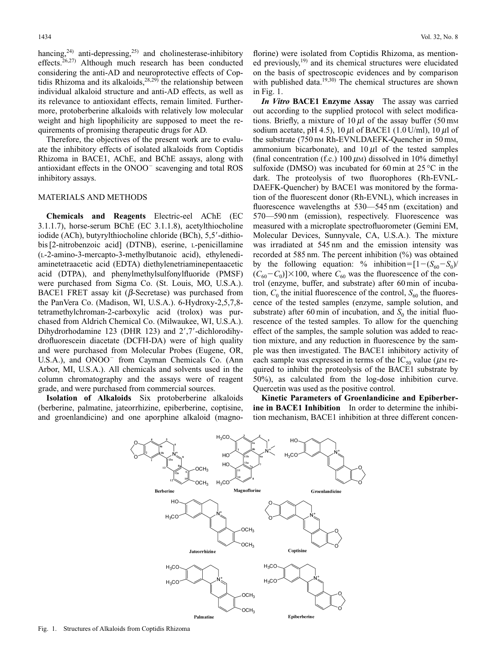hancing,<sup>24)</sup> anti-depressing,<sup>25)</sup> and cholinesterase-inhibitory effects.<sup>26,27)</sup> Although much research has been conducted considering the anti-AD and neuroprotective effects of Coptidis Rhizoma and its alkaloids,<sup>28,29)</sup> the relationship between individual alkaloid structure and anti-AD effects, as well as its relevance to antioxidant effects, remain limited. Furthermore, protoberberine alkaloids with relatively low molecular weight and high lipophilicity are supposed to meet the requirements of promising therapeutic drugs for AD.

Therefore, the objectives of the present work are to evaluate the inhibitory effects of isolated alkaloids from Coptidis Rhizoma in BACE1, AChE, and BChE assays, along with antioxidant effects in the ONOO<sup>-</sup> scavenging and total ROS inhibitory assays.

### MATERIALS AND METHODS

**Chemicals and Reagents** Electric-eel AChE (EC 3.1.1.7), horse-serum BChE (EC 3.1.1.8), acetylthiocholine iodide (ACh), butyrylthiocholine chloride (BCh), 5,5--dithiobis [2-nitrobenzoic acid] (DTNB), eserine, L-penicillamine (L-2-amino-3-mercapto-3-methylbutanoic acid), ethylenediaminetetraacetic acid (EDTA) diethylenetriaminepentaacetic acid (DTPA), and phenylmethylsulfonylfluoride (PMSF) were purchased from Sigma Co. (St. Louis, MO, U.S.A.). BACE1 FRET assay kit ( $\beta$ -Secretase) was purchased from the PanVera Co. (Madison, WI, U.S.A.). 6-Hydroxy-2,5,7,8 tetramethylchroman-2-carboxylic acid (trolox) was purchased from Aldrich Chemical Co. (Milwaukee, WI, U.S.A.). Dihydrorhodamine 123 (DHR 123) and 2',7'-dichlorodihydrofluorescein diacetate (DCFH-DA) were of high quality and were purchased from Molecular Probes (Eugene, OR, U.S.A.), and ONOO<sup>-</sup> from Cayman Chemicals Co. (Ann Arbor, MI, U.S.A.). All chemicals and solvents used in the column chromatography and the assays were of reagent grade, and were purchased from commercial sources.

**Isolation of Alkaloids** Six protoberberine alkaloids (berberine, palmatine, jateorrhizine, epiberberine, coptisine, and groenlandicine) and one aporphine alkaloid (magnoflorine) were isolated from Coptidis Rhizoma, as mentioned previously, $19$  and its chemical structures were elucidated on the basis of spectroscopic evidences and by comparison with published data.<sup>19,30</sup> The chemical structures are shown in Fig. 1.

*In Vitro* **BACE1 Enzyme Assay** The assay was carried out according to the supplied protocol with select modifications. Briefly, a mixture of  $10 \mu l$  of the assay buffer (50 mm sodium acetate, pH 4.5), 10  $\mu$ l of BACE1 (1.0 U/ml), 10  $\mu$ l of the substrate (750 nm Rh-EVNLDAEFK-Quencher in 50 mm, ammonium bicarbonate), and  $10 \mu l$  of the tested samples (final concentration (f.c.) 100  $\mu$ <sub>M</sub>) dissolved in 10% dimethyl sulfoxide (DMSO) was incubated for 60 min at  $25^{\circ}$ C in the dark. The proteolysis of two fluorophores (Rh-EVNL-DAEFK-Quencher) by BACE1 was monitored by the formation of the fluorescent donor (Rh-EVNL), which increases in fluorescence wavelengths at 530—545 nm (excitation) and 570—590 nm (emission), respectively. Fluorescence was measured with a microplate spectrofluorometer (Gemini EM, Molecular Devices, Sunnyvale, CA, U.S.A.). The mixture was irradiated at 545 nm and the emission intensity was recorded at 585 nm. The percent inhibition (%) was obtained by the following equation: % inhibition= $[1-(S_{60}-S_0)/$  $(C_{60} - C_0)$ ]×100, where  $C_{60}$  was the fluorescence of the control (enzyme, buffer, and substrate) after 60 min of incubation,  $C_0$  the initial fluorescence of the control,  $S_{60}$  the fluorescence of the tested samples (enzyme, sample solution, and substrate) after 60 min of incubation, and  $S_0$  the initial fluorescence of the tested samples. To allow for the quenching effect of the samples, the sample solution was added to reaction mixture, and any reduction in fluorescence by the sample was then investigated. The BACE1 inhibitory activity of each sample was expressed in terms of the  $IC_{50}$  value ( $\mu$ M required to inhibit the proteolysis of the BACE1 substrate by 50%), as calculated from the log-dose inhibition curve. Quercetin was used as the positive control.

**Kinetic Parameters of Groenlandicine and Epiberberine in BACE1 Inhibition** In order to determine the inhibition mechanism, BACE1 inhibition at three different concen-

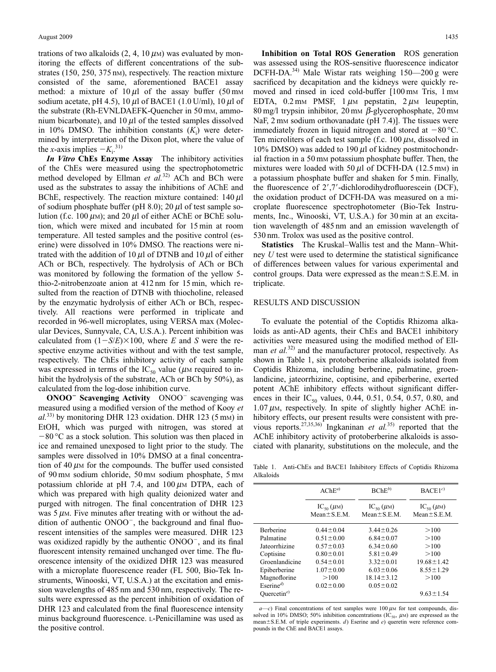trations of two alkaloids  $(2, 4, 10 \,\mu)$  was evaluated by monitoring the effects of different concentrations of the substrates (150, 250, 375 nm), respectively. The reaction mixture consisted of the same, aforementioned BACE1 assay method: a mixture of  $10 \mu l$  of the assay buffer (50 mm sodium acetate, pH 4.5), 10  $\mu$ l of BACE1 (1.0 U/ml), 10  $\mu$ l of the substrate (Rh-EVNLDAEFK-Quencher in 50 mM, ammonium bicarbonate), and  $10 \mu l$  of the tested samples dissolved in 10% DMSO. The inhibition constants  $(K_i)$  were determined by interpretation of the Dixon plot, where the value of the *x*-axis implies  $-K_i$ <sup>31)</sup>

*In Vitro* **ChEs Enzyme Assay** The inhibitory activities of the ChEs were measured using the spectrophotometric method developed by Ellman *et al.*32) ACh and BCh were used as the substrates to assay the inhibitions of AChE and BChE, respectively. The reaction mixture contained:  $140 \mu l$ of sodium phosphate buffer (pH 8.0); 20  $\mu$ l of test sample solution (f.c. 100  $\mu$ M); and 20  $\mu$ l of either AChE or BChE solution, which were mixed and incubated for 15 min at room temperature. All tested samples and the positive control (eserine) were dissolved in 10% DMSO. The reactions were nitrated with the addition of 10  $\mu$ l of DTNB and 10  $\mu$ l of either ACh or BCh, respectively. The hydrolysis of ACh or BCh was monitored by following the formation of the yellow 5 thio-2-nitrobenzoate anion at 412 nm for 15 min, which resulted from the reaction of DTNB with thiocholine, released by the enzymatic hydrolysis of either ACh or BCh, respectively. All reactions were performed in triplicate and recorded in 96-well microplates, using VERSA max (Molecular Devices, Sunnyvale, CA, U.S.A.). Percent inhibition was calculated from  $(1-S/E) \times 100$ , where *E* and *S* were the respective enzyme activities without and with the test sample, respectively. The ChEs inhibitory activity of each sample was expressed in terms of the  $IC_{50}$  value ( $\mu$ M required to inhibit the hydrolysis of the substrate, ACh or BCh by 50%), as calculated from the log-dose inhibition curve.

**ONOO<sup>-</sup> Scavenging Activity** ONOO<sup>-</sup> scavenging was measured using a modified version of the method of Kooy *et al.*33) by monitoring DHR 123 oxidation. DHR 123 (5 mM) in EtOH, which was purged with nitrogen, was stored at  $-80$  °C as a stock solution. This solution was then placed in ice and remained unexposed to light prior to the study. The samples were dissolved in 10% DMSO at a final concentration of 40  $\mu$ M for the compounds. The buffer used consisted of 90 mm sodium chloride, 50 mm sodium phosphate, 5 mm potassium chloride at pH 7.4, and  $100 \mu M$  DTPA, each of which was prepared with high quality deionized water and purged with nitrogen. The final concentration of DHR 123 was  $5 \mu$ M. Five minutes after treating with or without the addition of authentic  $ONOO^{-}$ , the background and final fluorescent intensities of the samples were measured. DHR 123 was oxidized rapidly by the authentic ONOO<sup>-</sup>, and its final fluorescent intensity remained unchanged over time. The fluorescence intensity of the oxidized DHR 123 was measured with a microplate fluorescence reader (FL 500, Bio-Tek Instruments, Winooski, VT, U.S.A.) at the excitation and emission wavelengths of 485 nm and 530 nm, respectively. The results were expressed as the percent inhibition of oxidation of DHR 123 and calculated from the final fluorescence intensity minus background fluorescence. L-Penicillamine was used as the positive control.

**Inhibition on Total ROS Generation** ROS generation was assessed using the ROS-sensitive fluorescence indicator DCFH-DA.<sup>34)</sup> Male Wistar rats weighing  $150-200$  g were sacrificed by decapitation and the kidneys were quickly removed and rinsed in iced cold-buffer [100 mm Tris, 1 mm EDTA, 0.2 mm PMSF,  $1 \mu$ m pepstatin,  $2 \mu$ m leupeptin, 80 mg/l trypsin inhibitor, 20 mm  $\beta$ -glycerophosphate, 20 mm NaF,  $2 \text{ mm}$  sodium orthovanadate (pH 7.4)]. The tissues were immediately frozen in liquid nitrogen and stored at  $-80$  °C. Ten microliters of each test sample (f.c.  $100 \mu$ M, dissolved in 10% DMSO) was added to 190  $\mu$ l of kidney postmitochondrial fraction in a 50 mm potassium phosphate buffer. Then, the mixtures were loaded with 50  $\mu$ l of DCFH-DA (12.5 mm) in a potassium phosphate buffer and shaken for 5 min. Finally, the fluorescence of 2',7'-dichlorodihydrofluorescein (DCF), the oxidation product of DCFH-DA was measured on a microplate fluorescence spectrophotometer (Bio-Tek Instruments, Inc., Winooski, VT, U.S.A.) for 30 min at an excitation wavelength of 485 nm and an emission wavelength of 530 nm. Trolox was used as the positive control.

**Statistics** The Kruskal–Wallis test and the Mann–Whitney *U* test were used to determine the statistical significance of differences between values for various experimental and control groups. Data were expressed as the mean $\pm$ S.E.M. in triplicate.

## RESULTS AND DISCUSSION

To evaluate the potential of the Coptidis Rhizoma alkaloids as anti-AD agents, their ChEs and BACE1 inhibitory activities were measured using the modified method of Ellman *et al.*<sup>32)</sup> and the manufacturer protocol, respectively. As shown in Table 1, six protoberberine alkaloids isolated from Coptidis Rhizoma, including berberine, palmatine, groenlandicine, jateorrhizine, coptisine, and epiberberine, exerted potent AChE inhibitory effects without significant differences in their  $IC_{50}$  values, 0.44, 0.51, 0.54, 0.57, 0.80, and  $1.07 \mu$ M, respectively. In spite of slightly higher AChE inhibitory effects, our present results were consistent with previous reports.27,35,36) Ingkaninan *et al.*35) reported that the AChE inhibitory activity of protoberberine alkaloids is associated with planarity, substitutions on the molecule, and the

Table 1. Anti-ChEs and BACE1 Inhibitory Effects of Coptidis Rhizoma Alkaloids

|                                   | $AChE^{a}$                            | $BChE^{b)}$                           | BACE1 <sup>c</sup>                    |
|-----------------------------------|---------------------------------------|---------------------------------------|---------------------------------------|
|                                   | $IC_{50}(\mu M)$<br>$Mean \pm S.E.M.$ | $IC_{50}(\mu M)$<br>$Mean \pm S.E.M.$ | $IC_{50}(\mu M)$<br>$Mean \pm S.E.M.$ |
| <b>Berberine</b>                  | $0.44 \pm 0.04$                       | $3.44 \pm 0.26$                       | >100                                  |
| Palmatine                         | $0.51 \pm 0.00$                       | $6.84 \pm 0.07$                       | >100                                  |
| Jateorrhizine                     | $0.57 \pm 0.03$                       | $6.34 \pm 0.60$                       | >100                                  |
| Coptisine                         | $0.80 \pm 0.01$                       | $5.81 \pm 0.49$                       | >100                                  |
| Groenlandicine                    | $0.54 \pm 0.01$                       | $3.32 \pm 0.01$                       | $19.68 \pm 1.42$                      |
| Epiberberine                      | $1.07 \pm 0.00$                       | $6.03 \pm 0.06$                       | $8.55 \pm 1.29$                       |
| Magnoflorine                      | >100                                  | $18.14 \pm 3.12$                      | >100                                  |
| Eserine <sup><math>d</math></sup> | $0.02 \pm 0.00$                       | $0.05 \pm 0.02$                       |                                       |
| Ouercetin <sup>e)</sup>           |                                       |                                       | $9.63 \pm 1.54$                       |

 $ac$ ) Final concentrations of test samples were  $100 \mu$ M for test compounds, dissolved in 10% DMSO; 50% inhibition concentrations (IC<sub>50</sub>,  $\mu$ M) are expressed as the mean ± S.E.M. of triple experiments. *d*) Eserine and *e*) queretin were reference compounds in the ChE and BACE1 assays.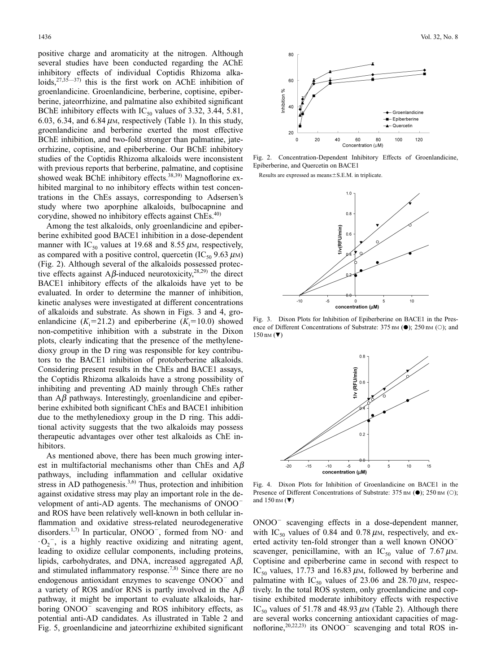positive charge and aromaticity at the nitrogen. Although several studies have been conducted regarding the AChE inhibitory effects of individual Coptidis Rhizoma alkaloids,  $27,35-37$  this is the first work on AChE inhibition of groenlandicine. Groenlandicine, berberine, coptisine, epiberberine, jateorrhizine, and palmatine also exhibited significant BChE inhibitory effects with  $IC_{50}$  values of 3.32, 3.44, 5.81, 6.03, 6.34, and 6.84  $\mu$ M, respectively (Table 1). In this study, groenlandicine and berberine exerted the most effective BChE inhibition, and two-fold stronger than palmatine, jateorrhizine, coptisine, and epiberberine. Our BChE inhibitory studies of the Coptidis Rhizoma alkaloids were inconsistent with previous reports that berberine, palmatine, and coptisine showed weak BChE inhibitory effects.<sup>38,39)</sup> Magnoflorine exhibited marginal to no inhibitory effects within test concentrations in the ChEs assays, corresponding to Adsersen's study where two aporphine alkaloids, bulbocapnine and corydine, showed no inhibitory effects against ChEs.<sup>40)</sup>

Among the test alkaloids, only groenlandicine and epiberberine exhibited good BACE1 inhibition in a dose-dependent manner with IC<sub>50</sub> values at 19.68 and 8.55  $\mu$ M, respectively, as compared with a positive control, quercetin  $(IC_{50} 9.63 \mu M)$ (Fig. 2). Although several of the alkaloids possessed protective effects against A $\beta$ -induced neurotoxicity,<sup>28,29)</sup> the direct BACE1 inhibitory effects of the alkaloids have yet to be evaluated. In order to determine the manner of inhibition, kinetic analyses were investigated at different concentrations of alkaloids and substrate. As shown in Figs. 3 and 4, groenlandicine  $(K_i=21.2)$  and epiberberine  $(K_i=10.0)$  showed non-competitive inhibition with a substrate in the Dixon plots, clearly indicating that the presence of the methylenedioxy group in the D ring was responsible for key contributors to the BACE1 inhibition of protoberberine alkaloids. Considering present results in the ChEs and BACE1 assays, the Coptidis Rhizoma alkaloids have a strong possibility of inhibiting and preventing AD mainly through ChEs rather than  $\Lambda\beta$  pathways. Interestingly, groenlandicine and epiberberine exhibited both significant ChEs and BACE1 inhibition due to the methylenedioxy group in the D ring. This additional activity suggests that the two alkaloids may possess therapeutic advantages over other test alkaloids as ChE inhibitors.

As mentioned above, there has been much growing interest in multifactorial mechanisms other than ChEs and  $A\beta$ pathways, including inflammation and cellular oxidative stress in AD pathogenesis. $3,6$  Thus, protection and inhibition against oxidative stress may play an important role in the development of anti-AD agents. The mechanisms of ONOO and ROS have been relatively well-known in both cellular inflammation and oxidative stress-related neurodegenerative disorders.<sup>1,7)</sup> In particular, ONOO<sup>-</sup>, formed from NO· and  $\cdot$  O<sub>2</sub><sup>-</sup>, is a highly reactive oxidizing and nitrating agent, leading to oxidize cellular components, including proteins, lipids, carbohydrates, and DNA, increased aggregated  $A\beta$ , and stimulated inflammatory response.<sup>7,8)</sup> Since there are no endogenous antioxidant enzymes to scavenge ONOO<sup>-</sup> and a variety of ROS and/or RNS is partly involved in the  $A\beta$ pathway, it might be important to evaluate alkaloids, harboring ONOO<sup>-</sup> scavenging and ROS inhibitory effects, as potential anti-AD candidates. As illustrated in Table 2 and Fig. 5, groenlandicine and jateorrhizine exhibited significant



Fig. 2. Concentration-Dependent Inhibitory Effects of Groenlandicine, Epiberberine, and Quercetin on BACE1

Results are expressed as  $means \pm S.E.M.$  in triplicate.



Fig. 3. Dixon Plots for Inhibition of Epiberberine on BACE1 in the Presence of Different Concentrations of Substrate:  $375 \text{ nm}$  ( $\bullet$ );  $250 \text{ nm}$  ( $\circ$ ); and  $150 \text{ nm}$  ( $\nabla$ )



Fig. 4. Dixon Plots for Inhibition of Groenlandicine on BACE1 in the Presence of Different Concentrations of Substrate:  $375 \text{ nm}$  ( $\bullet$ );  $250 \text{ nm}$  ( $\circ$ ); and  $150 \text{ nm}$  ( $\nabla$ )

 $ONOO^-$  scavenging effects in a dose-dependent manner, with IC<sub>50</sub> values of 0.84 and 0.78  $\mu$ M, respectively, and exerted activity ten-fold stronger than a well known ONOO scavenger, penicillamine, with an IC<sub>50</sub> value of 7.67  $\mu$ M. Coptisine and epiberberine came in second with respect to IC<sub>50</sub> values, 17.73 and 16.83  $\mu$ M, followed by berberine and palmatine with IC<sub>50</sub> values of 23.06 and 28.70  $\mu$ M, respectively. In the total ROS system, only groenlandicine and coptisine exhibited moderate inhibitory effects with respective IC<sub>50</sub> values of 51.78 and 48.93  $\mu$ M (Table 2). Although there are several works concerning antioxidant capacities of magnoflorine,  $20,22,23$  its ONOO<sup>-</sup> scavenging and total ROS in-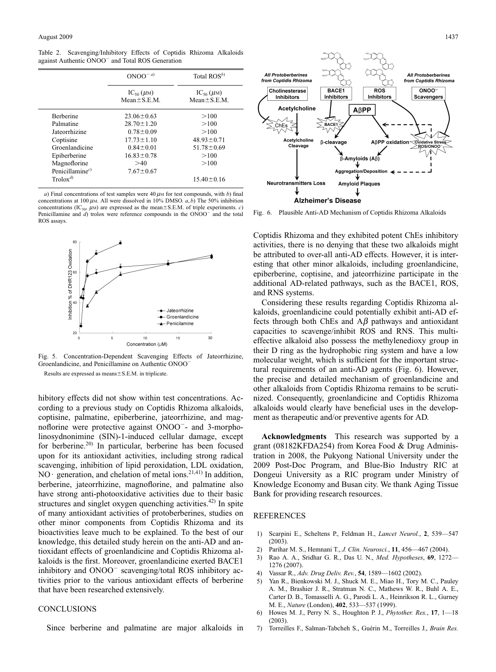Table 2. Scavenging/Inhibitory Effects of Coptidis Rhizoma Alkaloids against Authentic ONOO<sup>-</sup> and Total ROS Generation

|                     | $ONOO^{-a}$                           | Total $ROS^{b)}$                      |
|---------------------|---------------------------------------|---------------------------------------|
|                     | $IC_{50}(\mu M)$<br>$Mean \pm S.E.M.$ | $IC_{50}(\mu M)$<br>$Mean \pm S.E.M.$ |
| <b>Berberine</b>    | $23.06 \pm 0.63$                      | >100                                  |
| Palmatine           | $28.70 \pm 1.20$                      | >100                                  |
| Jateorrhizine       | $0.78 \pm 0.09$                       | >100                                  |
| Coptisine           | $17.73 \pm 1.10$                      | $48.93 \pm 0.71$                      |
| Groenlandicine      | $0.84 \pm 0.01$                       | $51.78 \pm 0.69$                      |
| Epiberberine        | $16.83 \pm 0.78$                      | >100                                  |
| Magnoflorine        | >40                                   | >100                                  |
| Penicillamine $c$ ) | $7.67 \pm 0.67$                       |                                       |
| $Trolox^{d)}$       |                                       | $15.40 \pm 0.16$                      |

*a*) Final concentrations of test samples were  $40 \mu$ M for test compounds, with *b*) final concentrations at 100  $\mu$ m. All were dissolved in 10% DMSO.  $a$ , *b*) The 50% inhibition concentrations (IC<sub>50</sub>,  $\mu$ M) are expressed as the mean $\pm$ S.E.M. of triple experiments. *c*) Penicillamine and *d*) trolox were reference compounds in the ONOO<sup>-</sup> and the total ROS assays.



Fig. 5. Concentration-Dependent Scavenging Effects of Jateorrhizine, Groenlandicine, and Penicillamine on Authentic ONOO Results are expressed as means $\pm$ S.E.M. in triplicate.

hibitory effects did not show within test concentrations. According to a previous study on Coptidis Rhizoma alkaloids, coptisine, palmatine, epiberberine, jateorrhizine, and magnoflorine were protective against ONOO- and 3-morpholinosydnonimine (SIN)-1-induced cellular damage, except for berberine.20) In particular, berberine has been focused upon for its antioxidant activities, including strong radical scavenging, inhibition of lipid peroxidation, LDL oxidation, NO $\cdot$  generation, and chelation of metal ions.<sup>21,41)</sup> In addition, berberine, jateorrhizine, magnoflorine, and palmatine also have strong anti-photooxidative activities due to their basic structures and singlet oxygen quenching activities.<sup>42)</sup> In spite of many antioxidant activities of protoberberines, studies on other minor components from Coptidis Rhizoma and its bioactivities leave much to be explained. To the best of our knowledge, this detailed study herein on the anti-AD and antioxidant effects of groenlandicine and Coptidis Rhizoma alkaloids is the first. Moreover, groenlandicine exerted BACE1 inhibitory and  $ONOO^-$  scavenging/total ROS inhibitory activities prior to the various antioxidant effects of berberine that have been researched extensively.

#### **CONCLUSIONS**

Since berberine and palmatine are major alkaloids in



Fig. 6. Plausible Anti-AD Mechanism of Coptidis Rhizoma Alkaloids

Coptidis Rhizoma and they exhibited potent ChEs inhibitory activities, there is no denying that these two alkaloids might be attributed to over-all anti-AD effects. However, it is interesting that other minor alkaloids, including groenlandicine, epiberberine, coptisine, and jateorrhizine participate in the additional AD-related pathways, such as the BACE1, ROS, and RNS systems.

Considering these results regarding Coptidis Rhizoma alkaloids, groenlandicine could potentially exhibit anti-AD effects through both ChEs and  $A\beta$  pathways and antioxidant capacities to scavenge/inhibit ROS and RNS. This multieffective alkaloid also possess the methylenedioxy group in their D ring as the hydrophobic ring system and have a low molecular weight, which is sufficient for the important structural requirements of an anti-AD agents (Fig. 6). However, the precise and detailed mechanism of groenlandicine and other alkaloids from Coptidis Rhizoma remains to be scrutinized. Consequently, groenlandicine and Coptidis Rhizoma alkaloids would clearly have beneficial uses in the development as therapeutic and/or preventive agents for AD.

**Acknowledgments** This research was supported by a grant (08182KFDA254) from Korea Food & Drug Administration in 2008, the Pukyong National University under the 2009 Post-Doc Program, and Blue-Bio Industry RIC at Dongeui University as a RIC program under Ministry of Knowledge Economy and Busan city. We thank Aging Tissue Bank for providing research resources.

#### REFERENCES

- 1) Scarpini E., Scheltens P., Feldman H., *Lancet Neurol.*, **2**, 539—547  $(2003)$
- 2) Parihar M. S., Hemnani T., *J. Clin. Neurosci.*, **11**, 456—467 (2004).
- 3) Rao A. A., Sridhar G. R., Das U. N., *Med. Hypotheses*, **69**, 1272— 1276 (2007).
- 4) Vassar R., *Adv. Drug Deliv. Rev.*, **54**, 1589—1602 (2002).
- 5) Yan R., Bienkowski M. J., Shuck M. E., Miao H., Tory M. C., Pauley A. M., Brashier J. R., Stratman N. C., Mathews W. R., Buhl A. E., Carter D. B., Tomasselli A. G., Parodi L. A., Heinrikson R. L., Gurney M. E., *Nature* (London), **402**, 533—537 (1999).
- 6) Howes M. J., Perry N. S., Houghton P. J., *Phytother. Res.*, **17**, 1—18 (2003).
- 7) Torreilles F., Salman-Tabcheh S., Guérin M., Torreilles J., *Brain Res.*